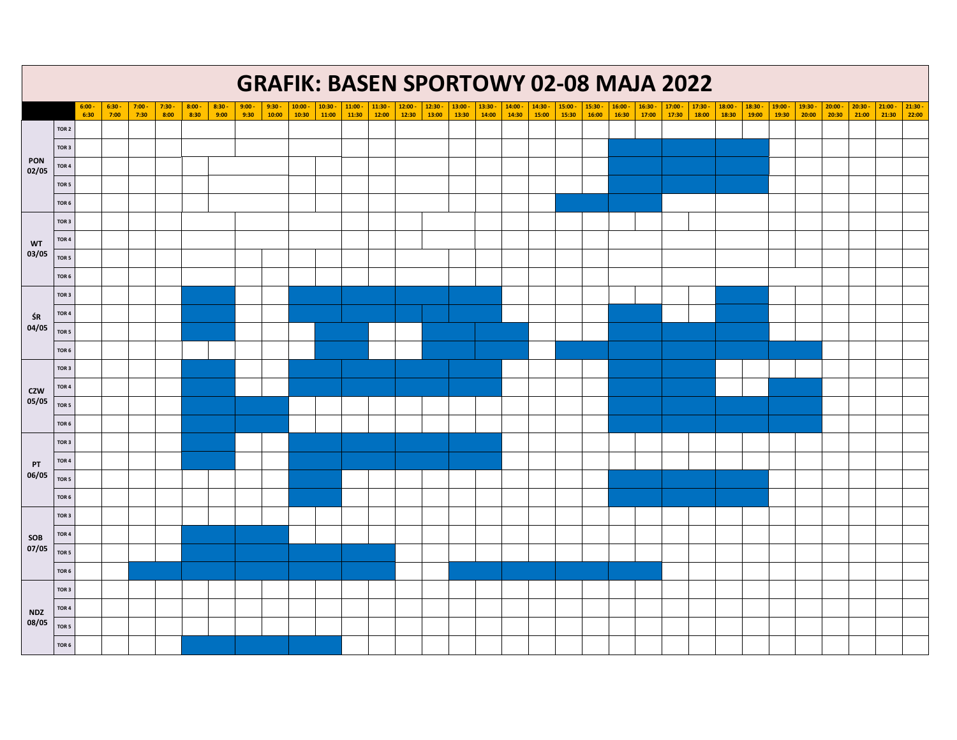